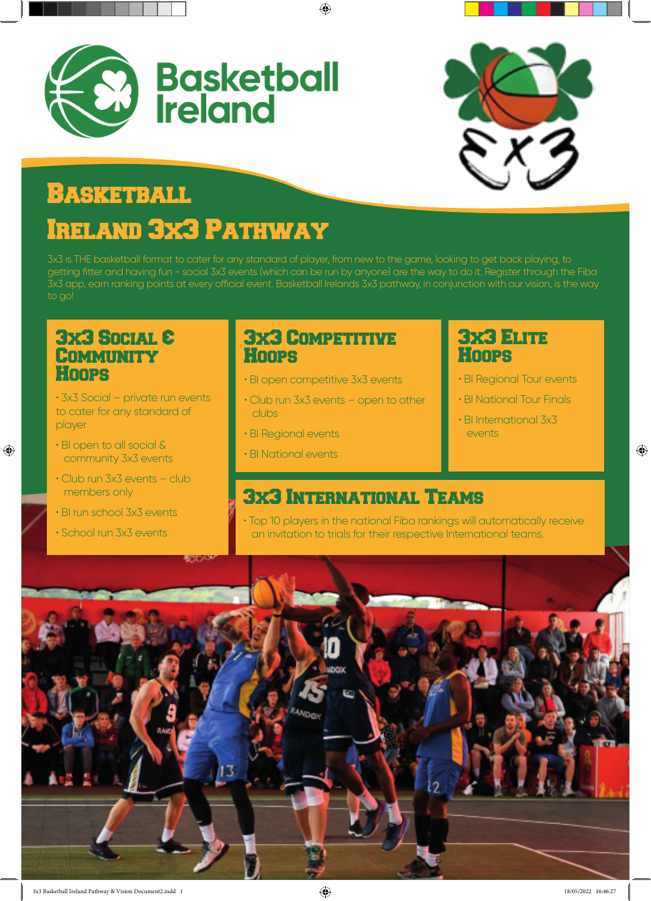



# **BASKETBALL**

# Ireland 3x3 Pathway

3x3 is THE basketball format to cater for any standard of player, from new to the game, looking to get back playing, to getting fitter and having fun - social 3x3 events (which can be run by anyone) are the way to do it. Register through the Fiba 3x3 app, earn ranking points at every official event. Basketball Irelands 3x3 pathway, in conjunction with our vision, is the way to go!

◈

#### 3x3 Social & **COMMUNITY Hoops**

• 3x3 Social – private run events to cater for any standard of player

• BI open to all social & community 3x3 events

◈

- Club run 3x3 events club members only
- BI run school 3x3 events
- School run 3x3 events

#### 3x3 Competitive **Hoops**

- BI open competitive 3x3 events
- Club run 3x3 events open to other clubs
- BI Regional events
- BI National events

#### 3x3 Elite **Hoops**

- BI Regional Tour events
- BI National Tour Finals

 $\bigoplus$ 

• BI International 3x3 events

### 3x3 International Teams

• Top 10 players in the national Fiba rankings will automatically receive an invitation to trials for their respective International teams.